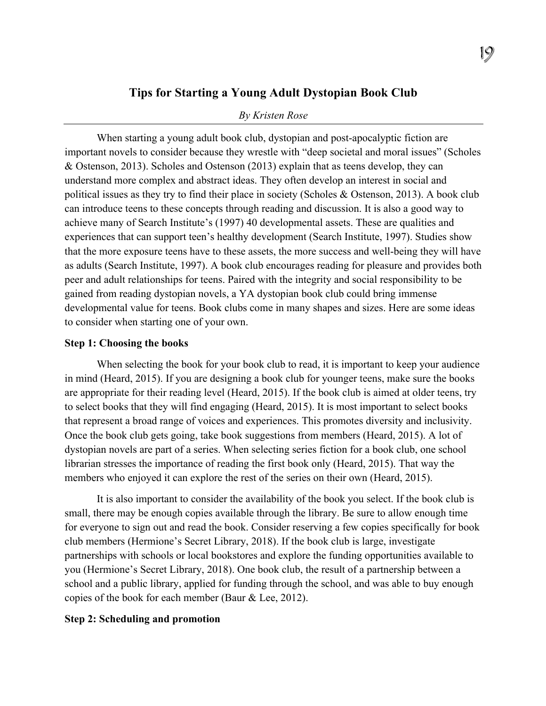# **Tips for Starting a Young Adult Dystopian Book Club**

#### *By Kristen Rose*

When starting a young adult book club, dystopian and post-apocalyptic fiction are important novels to consider because they wrestle with "deep societal and moral issues" (Scholes & Ostenson, 2013). Scholes and Ostenson (2013) explain that as teens develop, they can understand more complex and abstract ideas. They often develop an interest in social and political issues as they try to find their place in society (Scholes & Ostenson, 2013). A book club can introduce teens to these concepts through reading and discussion. It is also a good way to achieve many of Search Institute's (1997) 40 developmental assets. These are qualities and experiences that can support teen's healthy development (Search Institute, 1997). Studies show that the more exposure teens have to these assets, the more success and well-being they will have as adults (Search Institute, 1997). A book club encourages reading for pleasure and provides both peer and adult relationships for teens. Paired with the integrity and social responsibility to be gained from reading dystopian novels, a YA dystopian book club could bring immense developmental value for teens. Book clubs come in many shapes and sizes. Here are some ideas to consider when starting one of your own.

# **Step 1: Choosing the books**

When selecting the book for your book club to read, it is important to keep your audience in mind (Heard, 2015). If you are designing a book club for younger teens, make sure the books are appropriate for their reading level (Heard, 2015). If the book club is aimed at older teens, try to select books that they will find engaging (Heard, 2015). It is most important to select books that represent a broad range of voices and experiences. This promotes diversity and inclusivity. Once the book club gets going, take book suggestions from members (Heard, 2015). A lot of dystopian novels are part of a series. When selecting series fiction for a book club, one school librarian stresses the importance of reading the first book only (Heard, 2015). That way the members who enjoyed it can explore the rest of the series on their own (Heard, 2015).

It is also important to consider the availability of the book you select. If the book club is small, there may be enough copies available through the library. Be sure to allow enough time for everyone to sign out and read the book. Consider reserving a few copies specifically for book club members (Hermione's Secret Library, 2018). If the book club is large, investigate partnerships with schools or local bookstores and explore the funding opportunities available to you (Hermione's Secret Library, 2018). One book club, the result of a partnership between a school and a public library, applied for funding through the school, and was able to buy enough copies of the book for each member (Baur & Lee, 2012).

## **Step 2: Scheduling and promotion**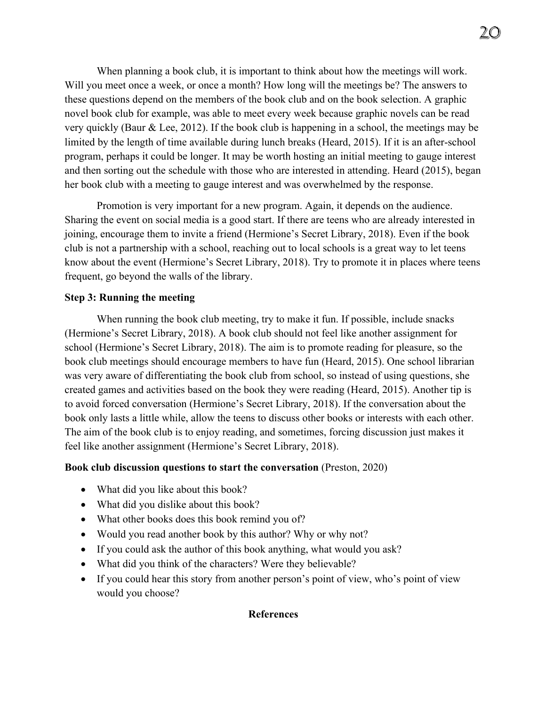When planning a book club, it is important to think about how the meetings will work. Will you meet once a week, or once a month? How long will the meetings be? The answers to these questions depend on the members of the book club and on the book selection. A graphic novel book club for example, was able to meet every week because graphic novels can be read very quickly (Baur & Lee, 2012). If the book club is happening in a school, the meetings may be limited by the length of time available during lunch breaks (Heard, 2015). If it is an after-school program, perhaps it could be longer. It may be worth hosting an initial meeting to gauge interest and then sorting out the schedule with those who are interested in attending. Heard (2015), began her book club with a meeting to gauge interest and was overwhelmed by the response.

Promotion is very important for a new program. Again, it depends on the audience. Sharing the event on social media is a good start. If there are teens who are already interested in joining, encourage them to invite a friend (Hermione's Secret Library, 2018). Even if the book club is not a partnership with a school, reaching out to local schools is a great way to let teens know about the event (Hermione's Secret Library, 2018). Try to promote it in places where teens frequent, go beyond the walls of the library.

# **Step 3: Running the meeting**

When running the book club meeting, try to make it fun. If possible, include snacks (Hermione's Secret Library, 2018). A book club should not feel like another assignment for school (Hermione's Secret Library, 2018). The aim is to promote reading for pleasure, so the book club meetings should encourage members to have fun (Heard, 2015). One school librarian was very aware of differentiating the book club from school, so instead of using questions, she created games and activities based on the book they were reading (Heard, 2015). Another tip is to avoid forced conversation (Hermione's Secret Library, 2018). If the conversation about the book only lasts a little while, allow the teens to discuss other books or interests with each other. The aim of the book club is to enjoy reading, and sometimes, forcing discussion just makes it feel like another assignment (Hermione's Secret Library, 2018).

## **Book club discussion questions to start the conversation** (Preston, 2020)

- What did you like about this book?
- What did you dislike about this book?
- What other books does this book remind you of?
- Would you read another book by this author? Why or why not?
- If you could ask the author of this book anything, what would you ask?
- What did you think of the characters? Were they believable?
- If you could hear this story from another person's point of view, who's point of view would you choose?

#### **References**